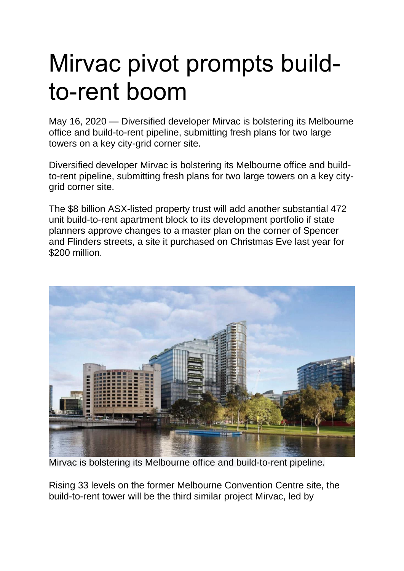## Mirvac pivot prompts buildto-rent boom

May 16, 2020 — Diversified developer Mirvac is bolstering its Melbourne office and build-to-rent pipeline, submitting fresh plans for two large towers on a key city-grid corner site.

Diversified developer Mirvac is bolstering its Melbourne office and buildto-rent pipeline, submitting fresh plans for two large towers on a key citygrid corner site.

The \$8 billion ASX-listed property trust will add another substantial 472 unit build-to-rent apartment block to its development portfolio if state planners approve changes to a master plan on the corner of Spencer and Flinders streets, a site it purchased on Christmas Eve last year for \$200 million.



Mirvac is bolstering its Melbourne office and build-to-rent pipeline.

Rising 33 levels on the former Melbourne Convention Centre site, the build-to-rent tower will be the third similar project Mirvac, led by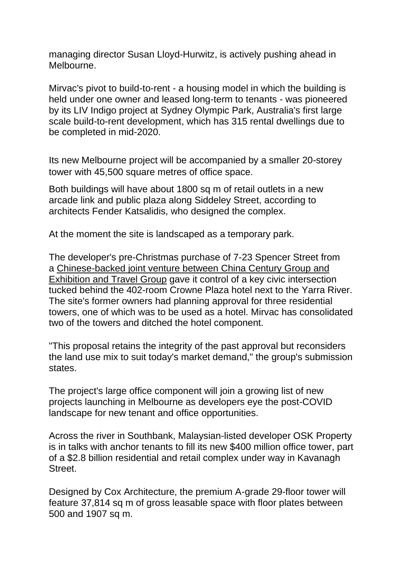managing director Susan Lloyd-Hurwitz, is actively pushing ahead in Melbourne.

Mirvac's pivot to build-to-rent - a housing model in which the building is held under one owner and leased long-term to tenants - was pioneered by its LIV Indigo project at Sydney Olympic Park, Australia's first large scale build-to-rent development, which has 315 rental dwellings due to be completed in mid-2020.

Its new Melbourne project will be accompanied by a smaller 20-storey tower with 45,500 square metres of office space.

Both buildings will have about 1800 sq m of retail outlets in a new arcade link and public plaza along Siddeley Street, according to architects Fender Katsalidis, who designed the complex.

At the moment the site is landscaped as a temporary park.

The developer's pre-Christmas purchase of 7-23 Spencer Street from a [Chinese-backed](https://www.afr.com/property/chinas-century-arrives-in-luxury-skycrapers-on-the-yarra-20180321-h0xr10) joint venture between China Century Group and [Exhibition](https://www.afr.com/property/chinas-century-arrives-in-luxury-skycrapers-on-the-yarra-20180321-h0xr10) and Travel Group gave it control of a key civic intersection tucked behind the 402-room Crowne Plaza hotel next to the Yarra River. The site's former owners had planning approval for three residential towers, one of which was to be used as a hotel. Mirvac has consolidated two of the towers and ditched the hotel component.

"This proposal retains the integrity of the past approval but reconsiders the land use mix to suit today's market demand," the group's submission states.

The project's large office component will join a growing list of new projects launching in Melbourne as developers eye the post-COVID landscape for new tenant and office opportunities.

Across the river in Southbank, Malaysian-listed developer OSK Property is in talks with anchor tenants to fill its new \$400 million office tower, part of a \$2.8 billion residential and retail complex under way in Kavanagh **Street** 

Designed by Cox Architecture, the premium A-grade 29-floor tower will feature 37,814 sq m of gross leasable space with floor plates between 500 and 1907 sq m.